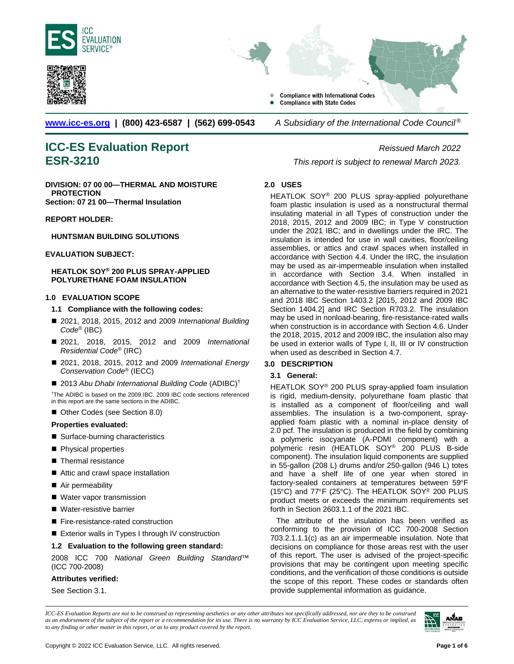





**[www.icc-es.org](http://www.icc-es.org/) | (800) 423-6587 | (562) 699-0543** *A Subsidiary of the International Code Council ®* 

# **ICC-ES Evaluation Report** *Reissued March 2022*

**DIVISION: 07 00 00—THERMAL AND MOISTURE PROTECTION Section: 07 21 00—Thermal Insulation**

### **REPORT HOLDER:**

### **HUNTSMAN BUILDING SOLUTIONS**

### **EVALUATION SUBJECT:**

### **HEATLOK SOY® 200 PLUS SPRAY-APPLIED POLYURETHANE FOAM INSULATION**

### **1.0 EVALUATION SCOPE**

### **1.1 Compliance with the following codes:**

- 2021, 2018, 2015, 2012 and 2009 *International Building Code*® (IBC)
- 2021, 2018, 2015, 2012 and 2009 *International Residential Code*® (IRC)
- 2021, 2018, 2015, 2012 and 2009 *International Energy Conservation Code*® (IECC)
- 2013 Abu Dhabi International Building Code (ADIBC)<sup>†</sup>

†The ADIBC is based on the 2009 IBC. 2009 IBC code sections referenced in this report are the same sections in the ADIBC.

■ Other Codes (see Section 8.0)

### **Properties evaluated:**

- Surface-burning characteristics
- **Physical properties**
- Thermal resistance
- Attic and crawl space installation
- Air permeability
- Water vapor transmission
- Water-resistive barrier
- Fire-resistance-rated construction
- Exterior walls in Types I through IV construction

### **1.2 Evaluation to the following green standard:**

2008 ICC 700 *National Green Building Standard*™ (ICC 700-2008)

### **Attributes verified:**

See Section 3.1.

**ESR-3210** *This report is subject to renewal March 2023.*

### **2.0 USES**

HEATLOK SOY® 200 PLUS spray-applied polyurethane foam plastic insulation is used as a nonstructural thermal insulating material in all Types of construction under the 2018, 2015, 2012 and 2009 IBC; in Type V construction under the 2021 IBC; and in dwellings under the IRC. The insulation is intended for use in wall cavities, floor/ceiling assemblies, or attics and crawl spaces when installed in accordance with Section 4.4. Under the IRC, the insulation may be used as air-impermeable insulation when installed in accordance with Section 3.4. When installed in accordance with Section 4.5, the insulation may be used as an alternative to the water-resistive barriers required in 2021 and 2018 IBC Section 1403.2 [2015, 2012 and 2009 IBC Section 1404.2] and IRC Section R703.2. The insulation may be used in nonload-bearing, fire-resistance-rated walls when construction is in accordance with Section 4.6. Under the 2018, 2015, 2012 and 2009 IBC, the insulation also may be used in exterior walls of Type I, II, III or IV construction when used as described in Section 4.7.

### **3.0 DESCRIPTION**

### **3.1 General:**

HEATLOK SOY® 200 PLUS spray-applied foam insulation is rigid, medium-density, polyurethane foam plastic that is installed as a component of floor/ceiling and wall assemblies. The insulation is a two-component, sprayapplied foam plastic with a nominal in-place density of 2.0 pcf. The insulation is produced in the field by combining a polymeric isocyanate (A-PDMI component) with a polymeric resin (HEATLOK SOY® 200 PLUS B-side component). The insulation liquid components are supplied in 55-gallon (208 L) drums and/or 250-gallon (946 L) totes and have a shelf life of one year when stored in factory-sealed containers at temperatures between 59°F (15°C) and 77°F (25°C). The HEATLOK SOY® 200 PLUS product meets or exceeds the minimum requirements set forth in Section 2603.1.1 of the 2021 IBC.

The attribute of the insulation has been verified as conforming to the provision of ICC 700-2008 Section 703.2.1.1.1(c) as an air impermeable insulation. Note that decisions on compliance for those areas rest with the user of this report. The user is advised of the project-specific provisions that may be contingent upon meeting specific conditions, and the verification of those conditions is outside the scope of this report. These codes or standards often provide supplemental information as guidance.

*ICC-ES Evaluation Reports are not to be construed as representing aesthetics or any other attributes not specifically addressed, nor are they to be construed as an endorsement of the subject of the report or a recommendation for its use. There is no warranty by ICC Evaluation Service, LLC, express or implied, as to any finding or other matter in this report, or as to any product covered by the report.*

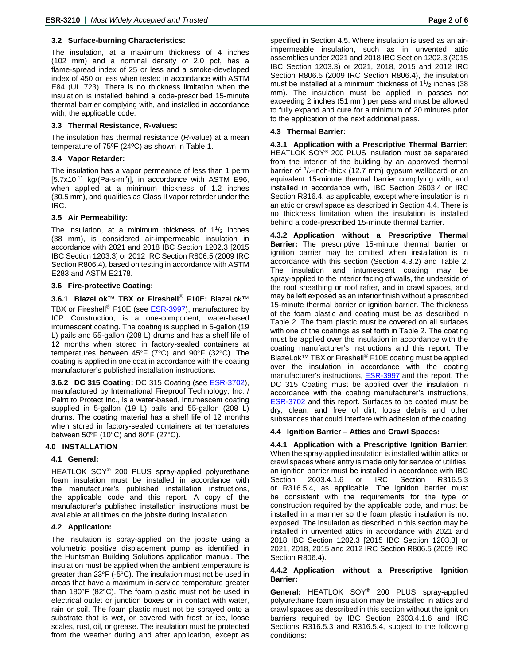### **3.2 Surface-burning Characteristics:**

The insulation, at a maximum thickness of 4 inches (102 mm) and a nominal density of 2.0 pcf, has a flame-spread index of 25 or less and a smoke-developed index of 450 or less when tested in accordance with ASTM E84 (UL 723). There is no thickness limitation when the insulation is installed behind a code-prescribed 15-minute thermal barrier complying with, and installed in accordance with, the applicable code.

### **3.3 Thermal Resistance,** *R***-values:**

The insulation has thermal resistance (*R*-value) at a mean temperature of 75ºF (24ºC) as shown in Table 1.

### **3.4 Vapor Retarder:**

The insulation has a vapor permeance of less than 1 perm  $[5.7x10^{-11}$  kg/(Pa-s-m<sup>2</sup>)], in accordance with ASTM E96, when applied at a minimum thickness of 1.2 inches (30.5 mm), and qualifies as Class II vapor retarder under the IRC.

### **3.5 Air Permeability:**

The insulation, at a minimum thickness of  $1<sup>1</sup>/2$  inches (38 mm), is considered air-impermeable insulation in accordance with 2021 and 2018 IBC Section 1202.3 [2015 IBC Section 1203.3] or 2012 IRC Section R806.5 (2009 IRC Section R806.4), based on testing in accordance with ASTM E283 and ASTM E2178.

### **3.6 Fire-protective Coating:**

**3.6.1 BlazeLok™ TBX or Fireshell**® **F10E:** BlazeLok™ TBX or Fireshell<sup>®</sup> F10E (see **ESR-3997**), manufactured by ICP Construction, is a one-component, water-based intumescent coating. The coating is supplied in 5-gallon (19 L) pails and 55-gallon (208 L) drums and has a shelf life of 12 months when stored in factory-sealed containers at temperatures between 45°F (7°C) and 90°F (32°C). The coating is applied in one coat in accordance with the coating manufacturer's published installation instructions.

**3.6.2 DC 315 Coating:** DC 315 Coating (see [ESR-3702\)](http://www.icc-es.org/Reports/pdf_files/ESR-3702.pdf), manufactured by International Fireproof Technology, Inc. / Paint to Protect Inc., is a water-based, intumescent coating supplied in 5-gallon (19 L) pails and 55-gallon (208 L) drums. The coating material has a shelf life of 12 months when stored in factory-sealed containers at temperatures between 50°F (10°C) and 80°F (27°C).

### **4.0 INSTALLATION**

### **4.1 General:**

HEATLOK SOY® 200 PLUS spray-applied polyurethane foam insulation must be installed in accordance with the manufacturer's published installation instructions, the applicable code and this report. A copy of the manufacturer's published installation instructions must be available at all times on the jobsite during installation.

### **4.2 Application:**

The insulation is spray-applied on the jobsite using a volumetric positive displacement pump as identified in the Huntsman Building Solutions application manual. The insulation must be applied when the ambient temperature is greater than 23°F (-5°C). The insulation must not be used in areas that have a maximum in-service temperature greater than 180°F (82°C). The foam plastic must not be used in electrical outlet or junction boxes or in contact with water, rain or soil. The foam plastic must not be sprayed onto a substrate that is wet, or covered with frost or ice, loose scales, rust, oil, or grease. The insulation must be protected from the weather during and after application, except as specified in Section 4.5. Where insulation is used as an airimpermeable insulation, such as in unvented attic assemblies under 2021 and 2018 IBC Section 1202.3 (2015 IBC Section 1203.3) or 2021, 2018, 2015 and 2012 IRC Section R806.5 (2009 IRC Section R806.4), the insulation must be installed at a minimum thickness of  $1\frac{1}{2}$  inches (38) mm). The insulation must be applied in passes not exceeding 2 inches (51 mm) per pass and must be allowed to fully expand and cure for a minimum of 20 minutes prior to the application of the next additional pass.

### **4.3 Thermal Barrier:**

**4.3.1 Application with a Prescriptive Thermal Barrier:**  HEATLOK SOY® 200 PLUS insulation must be separated from the interior of the building by an approved thermal barrier of  $1/2$ -inch-thick (12.7 mm) gypsum wallboard or an equivalent 15-minute thermal barrier complying with, and installed in accordance with, IBC Section 2603.4 or IRC Section R316.4, as applicable, except where insulation is in an attic or crawl space as described in Section 4.4. There is no thickness limitation when the insulation is installed behind a code-prescribed 15-minute thermal barrier.

**4.3.2 Application without a Prescriptive Thermal Barrier:** The prescriptive 15-minute thermal barrier or ignition barrier may be omitted when installation is in accordance with this section (Section 4.3.2) and Table 2. The insulation and intumescent coating may be spray-applied to the interior facing of walls, the underside of the roof sheathing or roof rafter, and in crawl spaces, and may be left exposed as an interior finish without a prescribed 15-minute thermal barrier or ignition barrier. The thickness of the foam plastic and coating must be as described in Table 2. The foam plastic must be covered on all surfaces with one of the coatings as set forth in Table 2. The coating must be applied over the insulation in accordance with the coating manufacturer's instructions and this report. The BlazeLok™ TBX or Fireshell<sup>®</sup> F10E coating must be applied over the insulation in accordance with the coating manufacturer's instructions, [ESR-3997](http://www.icc-es.org/Reports/pdf_files/ESR-3997.pdf) and this report. The DC 315 Coating must be applied over the insulation in accordance with the coating manufacturer's instructions, **[ESR-3702](http://www.icc-es.org/Reports/pdf_files/ESR-3702.pdf)** and this report. Surfaces to be coated must be dry, clean, and free of dirt, loose debris and other substances that could interfere with adhesion of the coating.

### **4.4 Ignition Barrier – Attics and Crawl Spaces:**

**4.4.1 Application with a Prescriptive Ignition Barrier:**  When the spray-applied insulation is installed within attics or crawl spaces where entry is made only for service of utilities, an ignition barrier must be installed in accordance with IBC Section 2603.4.1.6 or IRC Section R316.5.3 or R316.5.4, as applicable. The ignition barrier must be consistent with the requirements for the type of construction required by the applicable code, and must be installed in a manner so the foam plastic insulation is not exposed. The insulation as described in this section may be installed in unvented attics in accordance with 2021 and 2018 IBC Section 1202.3 [2015 IBC Section 1203.3] or 2021, 2018, 2015 and 2012 IRC Section R806.5 (2009 IRC Section R806.4).

### **4.4.2 Application without a Prescriptive Ignition Barrier:**

**General:** HEATLOK SOY® 200 PLUS spray-applied polyurethane foam insulation may be installed in attics and crawl spaces as described in this section without the ignition barriers required by IBC Section 2603.4.1.6 and IRC Sections R316.5.3 and R316.5.4, subject to the following conditions: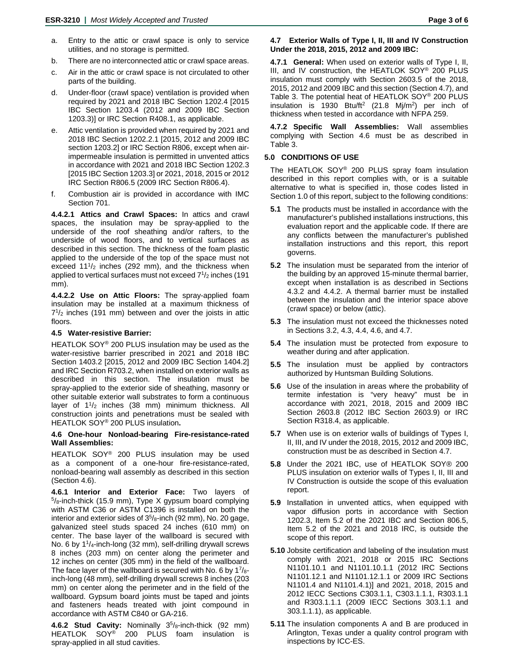- a. Entry to the attic or crawl space is only to service utilities, and no storage is permitted.
- b. There are no interconnected attic or crawl space areas.
- c. Air in the attic or crawl space is not circulated to other parts of the building.
- d. Under-floor (crawl space) ventilation is provided when required by 2021 and 2018 IBC Section 1202.4 [2015 IBC Section 1203.4 (2012 and 2009 IBC Section 1203.3)] or IRC Section R408.1, as applicable.
- e. Attic ventilation is provided when required by 2021 and 2018 IBC Section 1202.2.1 [2015, 2012 and 2009 IBC section 1203.2] or IRC Section R806, except when airimpermeable insulation is permitted in unvented attics in accordance with 2021 and 2018 IBC Section 1202.3 [2015 IBC Section 1203.3] or 2021, 2018, 2015 or 2012 IRC Section R806.5 (2009 IRC Section R806.4).
- f. Combustion air is provided in accordance with IMC Section 701.

**4.4.2.1 Attics and Crawl Spaces:** In attics and crawl spaces, the insulation may be spray-applied to the underside of the roof sheathing and/or rafters, to the underside of wood floors, and to vertical surfaces as described in this section. The thickness of the foam plastic applied to the underside of the top of the space must not exceed  $11<sup>1</sup>/2$  inches (292 mm), and the thickness when applied to vertical surfaces must not exceed  $7<sup>1</sup>/2$  inches (191 mm).

**4.4.2.2 Use on Attic Floors:** The spray-applied foam insulation may be installed at a maximum thickness of  $7<sup>1</sup>/2$  inches (191 mm) between and over the joists in attic floors.

### **4.5 Water-resistive Barrier:**

HEATLOK SOY® 200 PLUS insulation may be used as the water-resistive barrier prescribed in 2021 and 2018 IBC Section 1403.2 [2015, 2012 and 2009 IBC Section 1404.2] and IRC Section R703.2, when installed on exterior walls as described in this section. The insulation must be spray-applied to the exterior side of sheathing, masonry or other suitable exterior wall substrates to form a continuous layer of  $1\frac{1}{2}$  inches (38 mm) minimum thickness. All construction joints and penetrations must be sealed with HEATLOK SOY® 200 PLUS insulation**.**

### **4.6 One-hour Nonload-bearing Fire-resistance-rated Wall Assemblies:**

HEATLOK SOY® 200 PLUS insulation may be used as a component of a one-hour fire-resistance-rated, nonload-bearing wall assembly as described in this section (Section 4.6).

**4.6.1 Interior and Exterior Face:** Two layers of 5/8-inch-thick (15.9 mm), Type X gypsum board complying with ASTM C36 or ASTM C1396 is installed on both the interior and exterior sides of  $3<sup>5</sup>/8$ -inch (92 mm), No. 20 gage, galvanized steel studs spaced 24 inches (610 mm) on center. The base layer of the wallboard is secured with No. 6 by 1<sup>1</sup>/<sub>4</sub>-inch-long (32 mm), self-drilling drywall screws 8 inches (203 mm) on center along the perimeter and 12 inches on center (305 mm) in the field of the wallboard. The face layer of the wallboard is secured with No. 6 by  $1^{7}/_{8}$ inch-long (48 mm), self-drilling drywall screws 8 inches (203 mm) on center along the perimeter and in the field of the wallboard. Gypsum board joints must be taped and joints and fasteners heads treated with joint compound in accordance with ASTM C840 or GA-216.

**4.6.2 Stud Cavity:** Nominally 35/8-inch-thick (92 mm) HEATLOK SOY® 200 PLUS foam insulation is spray-applied in all stud cavities.

### **4.7 Exterior Walls of Type I, II, III and IV Construction Under the 2018, 2015, 2012 and 2009 IBC:**

**4.7.1 General:** When used on exterior walls of Type I, II, III, and IV construction, the HEATLOK SOY® 200 PLUS insulation must comply with Section 2603.5 of the 2018, 2015, 2012 and 2009 IBC and this section (Section 4.7), and Table 3. The potential heat of HEATLOK SOY® 200 PLUS insulation is 1930 Btu/ft<sup>2</sup> (21.8 Mj/m<sup>2</sup>) per inch of thickness when tested in accordance with NFPA 259.

**4.7.2 Specific Wall Assemblies:** Wall assemblies complying with Section 4.6 must be as described in Table 3.

### **5.0 CONDITIONS OF USE**

The HEATLOK SOY® 200 PLUS spray foam insulation described in this report complies with, or is a suitable alternative to what is specified in, those codes listed in Section 1.0 of this report, subject to the following conditions:

- **5.1** The products must be installed in accordance with the manufacturer's published installations instructions, this evaluation report and the applicable code. If there are any conflicts between the manufacturer's published installation instructions and this report, this report governs.
- **5.2** The insulation must be separated from the interior of the building by an approved 15-minute thermal barrier, except when installation is as described in Sections 4.3.2 and 4.4.2. A thermal barrier must be installed between the insulation and the interior space above (crawl space) or below (attic).
- **5.3** The insulation must not exceed the thicknesses noted in Sections 3.2, 4.3, 4.4, 4.6, and 4.7.
- **5.4** The insulation must be protected from exposure to weather during and after application.
- **5.5** The insulation must be applied by contractors authorized by Huntsman Building Solutions.
- **5.6** Use of the insulation in areas where the probability of termite infestation is "very heavy" must be in accordance with 2021, 2018, 2015 and 2009 IBC Section 2603.8 (2012 IBC Section 2603.9) or IRC Section R318.4, as applicable.
- **5.7** When use is on exterior walls of buildings of Types I, II, III, and IV under the 2018, 2015, 2012 and 2009 IBC, construction must be as described in Section 4.7.
- **5.8** Under the 2021 IBC, use of HEATLOK SOY® 200 PLUS insulation on exterior walls of Types I, II, III and IV Construction is outside the scope of this evaluation report.
- **5.9** Installation in unvented attics, when equipped with vapor diffusion ports in accordance with Section 1202.3, Item 5.2 of the 2021 IBC and Section 806.5, Item 5.2 of the 2021 and 2018 IRC, is outside the scope of this report.
- **5.10** Jobsite certification and labeling of the insulation must comply with 2021, 2018 or 2015 IRC Sections N1101.10.1 and N1101.10.1.1 (2012 IRC Sections N1101.12.1 and N1101.12.1.1 or 2009 IRC Sections N1101.4 and N1101.4.1)] and 2021, 2018, 2015 and 2012 IECC Sections C303.1.1, C303.1.1.1, R303.1.1 and R303.1.1.1 (2009 IECC Sections 303.1.1 and 303.1.1.1), as applicable.
- **5.11** The insulation components A and B are produced in Arlington, Texas under a quality control program with inspections by ICC-ES.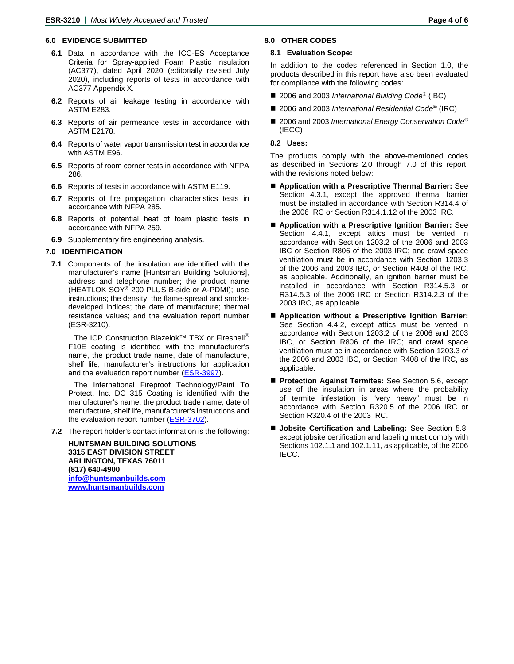### **6.0 EVIDENCE SUBMITTED**

- **6.1** Data in accordance with the ICC-ES Acceptance Criteria for Spray-applied Foam Plastic Insulation (AC377), dated April 2020 (editorially revised July 2020), including reports of tests in accordance with AC377 Appendix X.
- **6.2** Reports of air leakage testing in accordance with ASTM E283.
- **6.3** Reports of air permeance tests in accordance with ASTM E2178.
- **6.4** Reports of water vapor transmission test in accordance with ASTM E96.
- **6.5** Reports of room corner tests in accordance with NFPA 286.
- **6.6** Reports of tests in accordance with ASTM E119.
- **6.7** Reports of fire propagation characteristics tests in accordance with NFPA 285.
- **6.8** Reports of potential heat of foam plastic tests in accordance with NFPA 259.
- **6.9** Supplementary fire engineering analysis.

### **7.0 IDENTIFICATION**

**7.1** Components of the insulation are identified with the manufacturer's name [Huntsman Building Solutions], address and telephone number; the product name (HEATLOK SOY® 200 PLUS B-side or A-PDMI); use instructions; the density; the flame-spread and smokedeveloped indices; the date of manufacture; thermal resistance values; and the evaluation report number (ESR-3210).

The ICP Construction Blazelok™ TBX or Fireshell<sup>®</sup> F10E coating is identified with the manufacturer's name, the product trade name, date of manufacture, shelf life, manufacturer's instructions for application and the evaluation report number [\(ESR-3997\)](http://www.icc-es.org/Reports/pdf_files/load_file.cfm?file_type=pdf&file_name=ESR-3997.pdf).

The International Fireproof Technology/Paint To Protect, Inc. DC 315 Coating is identified with the manufacturer's name, the product trade name, date of manufacture, shelf life, manufacturer's instructions and the evaluation report number (**ESR-3702**).

**7.2** The report holder's contact information is the following:

**HUNTSMAN BUILDING SOLUTIONS 3315 EAST DIVISION STREET ARLINGTON, TEXAS 76011 (817) 640-4900 [info@huntsmanbuilds.com](mailto:info@huntsmanbuilds.com) [www.huntsmanbuilds.com](http://www.huntsmanbuilds.com/)**

### **8.0 OTHER CODES**

### **8.1 Evaluation Scope:**

In addition to the codes referenced in Section 1.0, the products described in this report have also been evaluated for compliance with the following codes:

- 2006 and 2003 *International Building Code<sup>®</sup>* (IBC)
- 2006 and 2003 *International Residential Code*<sup>®</sup> (IRC)
- 2006 and 2003 *International Energy Conservation Code*<sup>®</sup> (IECC)

### **8.2 Uses:**

The products comply with the above-mentioned codes as described in Sections 2.0 through 7.0 of this report, with the revisions noted below:

- **Application with a Prescriptive Thermal Barrier:** See Section 4.3.1, except the approved thermal barrier must be installed in accordance with Section R314.4 of the 2006 IRC or Section R314.1.12 of the 2003 IRC.
- **Application with a Prescriptive Ignition Barrier:** See Section 4.4.1, except attics must be vented in accordance with Section 1203.2 of the 2006 and 2003 IBC or Section R806 of the 2003 IRC; and crawl space ventilation must be in accordance with Section 1203.3 of the 2006 and 2003 IBC, or Section R408 of the IRC, as applicable. Additionally, an ignition barrier must be installed in accordance with Section R314.5.3 or R314.5.3 of the 2006 IRC or Section R314.2.3 of the 2003 IRC, as applicable.
- Application without a Prescriptive Ignition Barrier: See Section 4.4.2, except attics must be vented in accordance with Section 1203.2 of the 2006 and 2003 IBC, or Section R806 of the IRC; and crawl space ventilation must be in accordance with Section 1203.3 of the 2006 and 2003 IBC, or Section R408 of the IRC, as applicable.
- **Protection Against Termites:** See Section 5.6, except use of the insulation in areas where the probability of termite infestation is "very heavy" must be in accordance with Section R320.5 of the 2006 IRC or Section R320.4 of the 2003 IRC.
- **Jobsite Certification and Labeling:** See Section 5.8, except jobsite certification and labeling must comply with Sections 102.1.1 and 102.1.11, as applicable, of the 2006 IECC.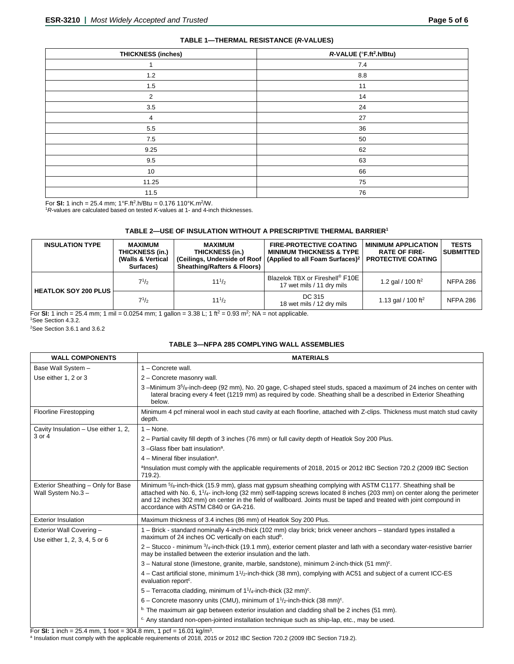| <b>THICKNESS (inches)</b> | R-VALUE (°F.ft <sup>2</sup> .h/Btu) |  |
|---------------------------|-------------------------------------|--|
| 4                         | 7.4                                 |  |
| $1.2$                     | 8.8                                 |  |
| 1.5                       | 11                                  |  |
| $\overline{2}$            | 14                                  |  |
| 3.5                       | 24                                  |  |
| 4                         | 27                                  |  |
| 5.5                       | 36                                  |  |
| 7.5                       | 50                                  |  |
| 9.25                      | 62                                  |  |
| 9.5                       | 63                                  |  |
| 10                        | 66                                  |  |
| 11.25                     | 75                                  |  |
| 11.5                      | 76                                  |  |

For **SI:** 1 inch = 25.4 mm; 1°F.ft2.h/Btu = 0.176 110°K.m2/W.

<sup>1</sup>*R*-values are calculated based on tested *K-*values at 1- and 4-inch thicknesses.

### **TABLE 2—USE OF INSULATION WITHOUT A PRESCRIPTIVE THERMAL BARRIER1**

| <b>INSULATION TYPE</b> | <b>MAXIMUM</b><br>THICKNESS (in.)<br>(Walls & Vertical<br>Surfaces) | <b>MAXIMUM</b><br>THICKNESS (in.)<br><b>Sheathing/Rafters &amp; Floors)</b> | <b>FIRE-PROTECTIVE COATING</b><br><b>MINIMUM THICKNESS &amp; TYPE</b><br>(Ceilings, Underside of Roof   (Applied to all Foam Surfaces) <sup>2</sup> | <b>MINIMUM APPLICATION</b><br><b>RATE OF FIRE-</b><br><b>PROTECTIVE COATING</b> | <b>TESTS</b><br><b>SUBMITTED</b> |
|------------------------|---------------------------------------------------------------------|-----------------------------------------------------------------------------|-----------------------------------------------------------------------------------------------------------------------------------------------------|---------------------------------------------------------------------------------|----------------------------------|
| HEATLOK SOY 200 PLUS I | $7^{1/2}$                                                           | $11^{1/2}$                                                                  | Blazelok TBX or Fireshell <sup>®</sup> F10E<br>17 wet mils / 11 dry mils                                                                            | 1.2 gal / 100 ft <sup>2</sup>                                                   | <b>NFPA 286</b>                  |
|                        | $7^{1/2}$                                                           | $11^{1/2}$                                                                  | DC 315<br>18 wet mils / 12 dry mils                                                                                                                 | 1.13 gal / 100 ft <sup>2</sup>                                                  | <b>NFPA 286</b>                  |

For **SI:** 1 inch = 25.4 mm; 1 mil = 0.0254 mm; 1 gallon = 3.38 L; 1 ft<sup>2</sup> = 0.93 m<sup>2</sup>; NA = not applicable.

1See Section 4.3.2.

2See Section 3.6.1 and 3.6.2

### **TABLE 3—NFPA 285 COMPLYING WALL ASSEMBLIES**

| <b>WALL COMPONENTS</b>                                    | <b>MATERIALS</b>                                                                                                                                                                                                                                                                                                                                                                                                   |  |  |
|-----------------------------------------------------------|--------------------------------------------------------------------------------------------------------------------------------------------------------------------------------------------------------------------------------------------------------------------------------------------------------------------------------------------------------------------------------------------------------------------|--|--|
| Base Wall System -                                        | $1 -$ Concrete wall.                                                                                                                                                                                                                                                                                                                                                                                               |  |  |
| Use either 1, 2 or 3                                      | 2 - Concrete masonry wall.                                                                                                                                                                                                                                                                                                                                                                                         |  |  |
|                                                           | 3-Minimum 3 <sup>5</sup> / <sub>8</sub> -inch-deep (92 mm), No. 20 gage, C-shaped steel studs, spaced a maximum of 24 inches on center with<br>lateral bracing every 4 feet (1219 mm) as required by code. Sheathing shall be a described in Exterior Sheathing<br>below.                                                                                                                                          |  |  |
| <b>Floorline Firestopping</b>                             | Minimum 4 pcf mineral wool in each stud cavity at each floorline, attached with Z-clips. Thickness must match stud cavity<br>depth.                                                                                                                                                                                                                                                                                |  |  |
| Cavity Insulation - Use either 1, 2,<br>3 or 4            | $1 - None$ .                                                                                                                                                                                                                                                                                                                                                                                                       |  |  |
|                                                           | 2 – Partial cavity fill depth of 3 inches (76 mm) or full cavity depth of Heatlok Soy 200 Plus.                                                                                                                                                                                                                                                                                                                    |  |  |
|                                                           | 3-Glass fiber batt insulation <sup>a</sup> .                                                                                                                                                                                                                                                                                                                                                                       |  |  |
|                                                           | $4$ – Mineral fiber insulation <sup>a</sup> .                                                                                                                                                                                                                                                                                                                                                                      |  |  |
|                                                           | alnsulation must comply with the applicable requirements of 2018, 2015 or 2012 IBC Section 720.2 (2009 IBC Section<br>719.2).                                                                                                                                                                                                                                                                                      |  |  |
| Exterior Sheathing - Only for Base<br>Wall System No.3 -  | Minimum $5/8$ -inch-thick (15.9 mm), glass mat gypsum sheathing complying with ASTM C1177. Sheathing shall be<br>attached with No. 6, $1\frac{1}{4}$ - inch-long (32 mm) self-tapping screws located 8 inches (203 mm) on center along the perimeter<br>and 12 inches 302 mm) on center in the field of wallboard. Joints must be taped and treated with joint compound in<br>accordance with ASTM C840 or GA-216. |  |  |
| <b>Exterior Insulation</b>                                | Maximum thickness of 3.4 inches (86 mm) of Heatlok Soy 200 Plus.                                                                                                                                                                                                                                                                                                                                                   |  |  |
| Exterior Wall Covering -<br>Use either 1, 2, 3, 4, 5 or 6 | 1 – Brick - standard nominally 4-inch-thick (102 mm) clay brick; brick veneer anchors – standard types installed a<br>maximum of 24 inches OC vertically on each stud <sup>b</sup> .                                                                                                                                                                                                                               |  |  |
|                                                           | $2 -$ Stucco - minimum $\frac{3}{4}$ -inch-thick (19.1 mm), exterior cement plaster and lath with a secondary water-resistive barrier<br>may be installed between the exterior insulation and the lath.                                                                                                                                                                                                            |  |  |
|                                                           | $3 -$ Natural stone (limestone, granite, marble, sandstone), minimum 2-inch-thick (51 mm) <sup>c</sup> .                                                                                                                                                                                                                                                                                                           |  |  |
|                                                           | 4 – Cast artificial stone, minimum $1\frac{1}{2}$ -inch-thick (38 mm), complying with AC51 and subject of a current ICC-ES<br>evaluation report <sup>c</sup> .                                                                                                                                                                                                                                                     |  |  |
|                                                           | 5 – Terracotta cladding, minimum of $1^{1}/_{4}$ -inch-thick (32 mm) <sup>c</sup> .                                                                                                                                                                                                                                                                                                                                |  |  |
|                                                           | 6 – Concrete masonry units (CMU), minimum of $1\frac{1}{2}$ -inch-thick (38 mm) <sup>c</sup> .                                                                                                                                                                                                                                                                                                                     |  |  |
|                                                           | <sup>b.</sup> The maximum air gap between exterior insulation and cladding shall be 2 inches (51 mm).                                                                                                                                                                                                                                                                                                              |  |  |
|                                                           | <sup>c.</sup> Any standard non-open-jointed installation technique such as ship-lap, etc., may be used.                                                                                                                                                                                                                                                                                                            |  |  |

For **SI:** 1 inch = 25.4 mm, 1 foot = 304.8 mm, 1 pcf = 16.01 kg/m<sup>3</sup>.

<sup>a</sup> Insulation must comply with the applicable requirements of 2018, 2015 or 2012 IBC Section 720.2 (2009 IBC Section 719.2).